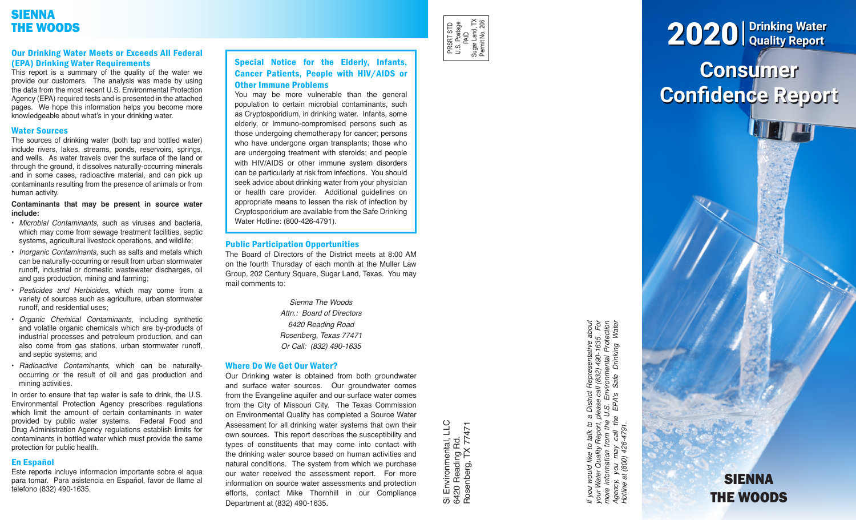# SIENNA THE WOODS

## Our Drinking Water Meets or Exceeds All Federal (EPA) Drinking Water Requirements

This report is a summary of the quality of the water we provide our customers. The analysis was made by using the data from the most recent U.S. Environmental Protection Agency (EPA) required tests and is presented in the attached pages. We hope this information helps you become more knowledgeable about what's in your drinking water.

### Water Sources

The sources of drinking water (both tap and bottled water) include rivers, lakes, streams, ponds, reservoirs, springs, and wells. As water travels over the surface of the land or through the ground, it dissolves naturally-occurring minerals and in some cases, radioactive material, and can pick up contaminants resulting from the presence of animals or from human activity.

#### **Contaminants that may be present in source water include:**

- *Microbial Contaminants*, such as viruses and bacteria, which may come from sewage treatment facilities, septic systems, agricultural livestock operations, and wildlife;
- *Inorganic Contaminants*, such as salts and metals which can be naturally-occurring or result from urban stormwater runoff, industrial or domestic wastewater discharges, oil and gas production, mining and farming;
- *Pesticides and Herbicides*, which may come from a variety of sources such as agriculture, urban stormwater runoff, and residential uses;
- *Organic Chemical Contaminants*, including synthetic and volatile organic chemicals which are by-products of industrial processes and petroleum production, and can also come from gas stations, urban stormwater runoff, and septic systems; and
- *Radioactive Contaminants*, which can be naturallyoccurring or the result of oil and gas production and mining activities.

In order to ensure that tap water is safe to drink, the U.S. Environmental Protection Agency prescribes regulations which limit the amount of certain contaminants in water provided by public water systems. Federal Food and Drug Administration Agency regulations establish limits for contaminants in bottled water which must provide the same protection for public health.

## En Español

Este reporte incluye informacion importante sobre el aqua para tomar. Para asistencia en Español, favor de llame al telefono (832) 490-1635.

# Special Notice for the Elderly, Infants, Cancer Patients, People with HIV/AIDS or Other Immune Problems

You may be more vulnerable than the general population to certain microbial contaminants, such as Cryptosporidium, in drinking water. Infants, some elderly, or Immuno-compromised persons such as those undergoing chemotherapy for cancer; persons who have undergone organ transplants; those who are undergoing treatment with steroids; and people with HIV/AIDS or other immune system disorders can be particularly at risk from infections. You should seek advice about drinking water from your physician or health care provider. Additional guidelines on appropriate means to lessen the risk of infection by Cryptosporidium are available from the Safe Drinking Water Hotline: (800-426-4791).

## Public Participation Opportunities

The Board of Directors of the District meets at 8:00 AM on the fourth Thursday of each month at the Muller Law Group, 202 Century Square, Sugar Land, Texas. You may mail comments to:

> *Sienna The Woods Attn.: Board of Directors 6420 Reading Road Rosenberg, Texas 77471 Or Call: (832) 490-1635*

# Where Do We Get Our Water?

Our Drinking water is obtained from both groundwater and surface water sources. Our groundwater comes from the Evangeline aquifer and our surface water comes from the City of Missouri City. The Texas Commission on Environmental Quality has completed a Source Water

Assessment for all drinking water systems that own their own sources. This report describes the susceptibility and types of constituents that may come into contact with the drinking water source based on human activities and natural conditions. The system from which we purchase our water received the assessment report. For more information on source water assessments and protection efforts, contact Mike Thornhill in our Compliance Department at (832) 490-1635.

Si Environmental, LLC<br>6420 Reading Rd.<br>Rosenberg, TX 77471 Si Environmental, LLC Rosenberg, TX 77471 6420 Reading Rd.

PRSRT STD U.S. Postage PRSRT STD<br>U.S. Postage<br>PAID<br>Sugar Land, TX<br>Pemit No. 206 Sugar Land, TX Permit No. 206

> If you would like to talk to a District Representative about<br>your Water Quality Report, please call (832) 490-1635. For<br>more information from the U.S. Environmental Protection<br>Agency, you may call the EPA's Safe Drinking W *If you would like to talk to a District Representative about your Water Quality Report, please call (832) 490-1635. For more information from the U.S. Environmental Protection Agency, you may call the EPA's Safe Drinking Water*  you may call th<br>at (800) 426-4791. *Hotline at (800) 426-4791.*Agency,<br>Hotline a

# **Consumer Confidence Report** 2020 **Drinking Water Quality Report**

**SIENNA** 

THE WOODS